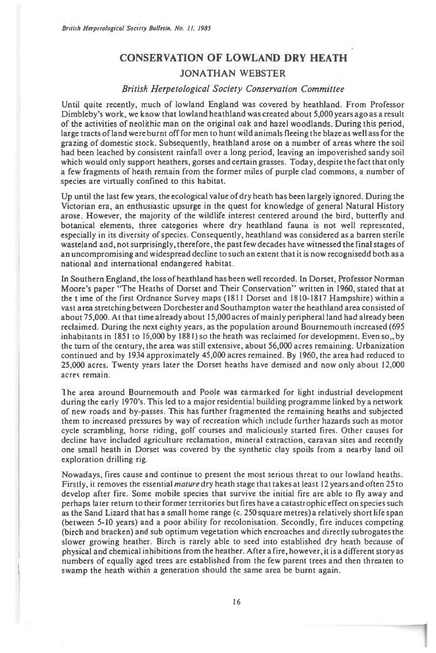## **CONSERVATION OF LOWLAND DRY HEATH JONATHAN WEBSTER**

## *British Herpetological Society Conservation Committee*

Until quite recently, much of lowland England was covered by heathland. From Professor Dimbleby's work, we know that lowland heathland was created about 5,000 years ago as a result of the activities of neolithic man on the original oak and hazel woodlands. During this period, large tracts of land were burnt off for men to hunt wild animals fleeing the blaze as well ass for the grazing of domestic stock. Subsequently, heathland arose on a number of areas where the soil had been leached by consistent rainfall over a long period, leaving an impoverished sandy soil which would only support heathers, gorses and certain grasses. Today, despite the fact that only a few fragments of heath remain from the former miles of purple clad commons, a number of species are virtually confined to this habitat.

Up until the last few years, the ecological value of dry heath has been largely ignored. During the Victorian era, an enthusiastic upsurge in the quest for knowledge of general Natural History arose. However, the majority of the wildlife interest centered around the bird, butterfly and botanical elements, three categories where dry heathland fauna is not well represented, especially in its diversity of species. Consequently, heathland was considered as a barren sterile wasteland and, not surprisingly, therefore, the past few decades have witnessed the final stages of an uncompromising and widespread decline to such an extent that it is now recognisedd both as a national and international endangered habitat

In Southern England, the loss of heathland has been well recorded. In Dorset, Professor Norman Moore's paper "The Heaths of Dorset and Their Conservation" written in 1960, stated that at the time of the first Ordnance Survey maps (1811 Dorset and 1810-1817 Hampshire) within a vast area stretching between Dorchester and Southampton water the heathland area consisted of about 75,000. At that time already about 15,000 acres of mainly peripheral land had already been reclaimed. During the next eighty years, as the population around Bournemouth increased (695 inhabitants in  $1851$  to  $16,000$  by  $1881$ ) so the heath was reclaimed for development. Even so, by the turn of the century, the area was still extensive, about 56,000 acres remaining. Urbanization continued and by 1934 approximately 45,000 acres remained. By 1960, the area had reduced to 25,000 acres. Twenty years later the Dorset heaths have demised and now only about 12,000 acres remain.

1 he area around Bournemouth and Poole was earmarked for light industrial development during the early 1970's. This led to a major residential building programme linked by a network of new roads and by-passes. This has further fragmented the remaining heaths and subjected them to increased pressures by way of recreation which include further hazards such as motor cycle scrambling, horse riding, golf courses and maliciously started fires. Other causes for decline have included agriculture reclamation, mineral extraction, caravan sites and recently one small heath in Dorset was covered by the synthetic clay spoils from a nearby land oil exploration drilling rig.

Nowadays, fires cause and continue to present the most serious threat to our lowland heaths. Firstly, it removes the essential *mature* dry heath stage that takes at least 12 years and often 25 to develop after fire. Some mobile species that survive the initial fire are able to fly away and perhaps later return to their former territories but fires have a catastrophic effect on species such as the Sand Lizard that has a small home range (c. 250 square metres) a relatively short life span (between 5-10 years) and a poor ability for recolonisation. Secondly, fire induces competing (birch and bracken) and sub optimum vegetation which encroaches and directly subrogates the slower growing heather. Birch is rarely able to seed into established dry heath because of physical and chemical inhibitions from the heather. After a fire, however, it is a different story as numbers of equally aged trees are established from the few parent trees and then threaten to swamp the heath within a generation should the same area be burnt again.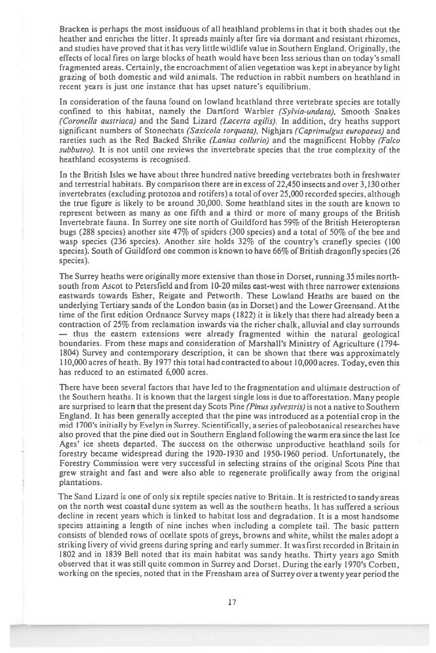Bracken is perhaps the most insiduous of all heathland problems in that it both shades out the heather and enriches the litter. It spreads mainly after fire via dormant and resistant rhizomes, and studies have proved that it has very little wildlife value in Southern England. Originally, the effects of local fires on large blocks of heath would have been less serious than on today's small fragmented areas. Certainly, the encroachment of alien vegetation was kept in abeyance by light grazing of both domestic and wild animals. The reduction in rabbit numbers on heathland in recent years is just one instance that has upset nature's equilibrium.

In consideration of the fauna found on lowland heathland three vertebrate species are totally confined to this habitat, namely the Dartford Warbler *(Sylvia-undata),* Smooth Snakes *(Coronella austriaca)* and the Sand Lizard *(Lacerta agilis).* In addition, dry heaths support significant numbers of Stonechats *(Saxicola torquata),* Nighjars *(Caprimulgus europaeus)* and rareties such as the Red Backed Shrike *(Lanius collurio)* and the magnificent Hobby *(Falco subbuteo).* It is not until one reviews the invertebrate species that the true complexity of the heathland ecosystems is recognised.

In the British Isles we have about three hundred native breeding vertebrates both in freshwater and terrestrial habitats. By comparison there are in excess of 22,450 insects and over 3,130 other invertebrates (excluding protozoa and rotifers) a total of over 25,000 recorded species, although the true figure is likely to be around 30,000. Some heathland sites in the south are known to represent between as many as one fifth and a third or more of many groups of the British Invertebrate fauna. In Surrey one site north of Guildford has 59% of the British Heteropteran bugs (288 species) another site 47% of spiders (300 species) and a total of 50% of the bee and wasp species (236 species). Another site holds  $32\%$  of the country's cranefly species (100 species). South of Guildford one common is known to have 66% of British dragonfly species (26 species).

The Surrey heaths were originally more extensive than those in Dorset, running 35 miles northsouth from Ascot to Petersfield and from 10-20 miles east-west with three narrower extensions eastwards towards Esher, Reigate and Petworth. These Lowland Heaths are based on the underlying Tertiary sands of the London basin (as in Dorset) and the Lower Greensand. At the time of the first edition Ordnance Survey maps (1822) it is likely that there had already been a contraction of 25% from reclamation inwards via the richer chalk, alluvial and clay surrounds — thus the eastern extensions were already fragmented within the natural geological boundaries. From these maps and consideration of Marshall's Ministry of Agriculture (1794- 1804) Survey and contemporary description, it can be shown that there was approximately 110,000 acres of heath. By 1977 this total had contracted to about 10,000 acres. Today, even this has reduced to an estimated 6,000 acres.

There have been several factors that have led to the fragmentation and ultimate destruction of the Southern heaths. It is known that the largest single loss is due to afforestation. Many people are surprised to learn that the present day Scots Pine *(Pinus sylvestris)* is not a native to Southern England. It has been generally accepted that the pine was introduced as a potential crop in the mid 1700's initially by Evelyn in Surrey. Scientifically, a series of paleobotanical researches have also proved that the pine died out in Southern England following the warm era since the last Ice Ages' ice sheets departed. The success on the otherwise unproductive heathland soils for forestry became widespread during the 1920-1930 and 1950-1960 period. Unfortunately, the Forestry Commission were very successful in selecting strains of the original Scots Pine that grew straight and fast and were also able to regenerate prolifically away from the original plantations.

The Sand Lizard is one of only six reptile species native to Britain. It is restricted to sandy areas on the north west coastal dune system as well as the southern heaths. It has suffered a serious decline in recent years which is linked to habitat loss and degradation. It is a most handsome species attaining a length of nine inches when including a complete tail. The basic pattern consists of blended rows of ocellate spots of greys, browns and white, whilst the males adopt a striking livery of vivid greens during spring and early summer. It was first recorded in Britain in 1802 and in 1839 Bell noted that its main habitat was sandy heaths. Thirty years ago Smith observed that it was still quite common in Surrey and Dorset. During the early 1970's Corbett, working on the species, noted that in the Frensham area of Surrey over a twenty year period the